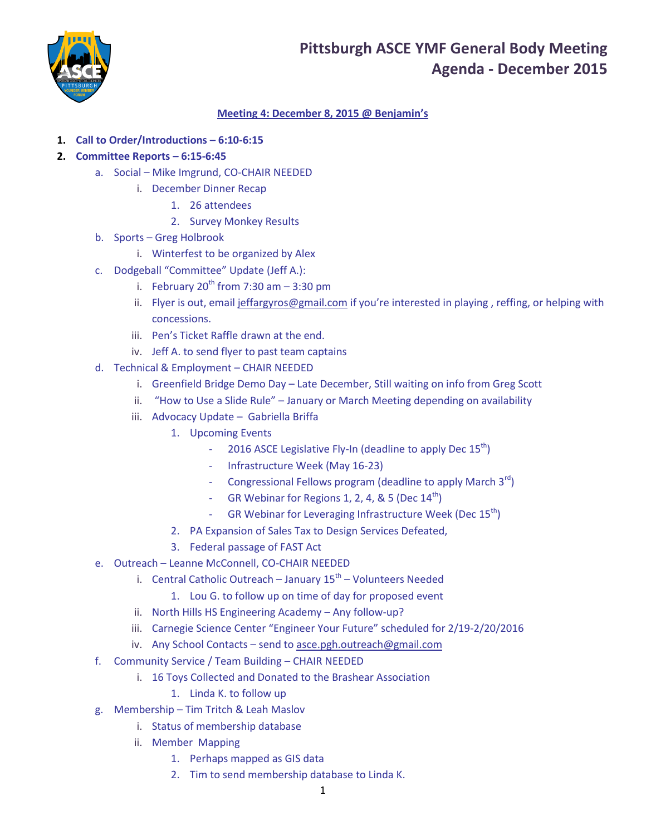

## **Meeting 4: December 8, 2015 @ Benjamin's**

- **1. Call to Order/Introductions – 6:10-6:15**
- **2. Committee Reports – 6:15-6:45**
	- a. Social Mike Imgrund, CO-CHAIR NEEDED
		- i. December Dinner Recap
			- 1. 26 attendees
				- 2. Survey Monkey Results
	- b. Sports Greg Holbrook
		- i. Winterfest to be organized by Alex
	- c. Dodgeball "Committee" Update (Jeff A.):
		- i. February  $20^{th}$  from 7:30 am  $-$  3:30 pm
		- ii. Flyer is out, email [jeffargyros@gmail.com](mailto:jeffargyros@gmail.com) if you're interested in playing , reffing, or helping with concessions.
		- iii. Pen's Ticket Raffle drawn at the end.
		- iv. Jeff A. to send flyer to past team captains
	- d. Technical & Employment CHAIR NEEDED
		- i. Greenfield Bridge Demo Day Late December, Still waiting on info from Greg Scott
		- ii. "How to Use a Slide Rule" January or March Meeting depending on availability
		- iii. Advocacy Update Gabriella Briffa
			- 1. Upcoming Events
				- 2016 ASCE Legislative Fly-In (deadline to apply Dec  $15<sup>th</sup>$ )
				- Infrastructure Week (May 16-23)
				- Congressional Fellows program (deadline to apply March  $3^{rd}$ )
				- GR Webinar for Regions 1, 2, 4, & 5 (Dec  $14<sup>th</sup>$ )
				- GR Webinar for Leveraging Infrastructure Week (Dec  $15<sup>th</sup>$ )
			- 2. PA Expansion of Sales Tax to Design Services Defeated,
			- 3. Federal passage of FAST Act
	- e. Outreach Leanne McConnell, CO-CHAIR NEEDED
		- i. Central Catholic Outreach January 15<sup>th</sup> Volunteers Needed
			- 1. Lou G. to follow up on time of day for proposed event
		- ii. North Hills HS Engineering Academy Any follow-up?
		- iii. Carnegie Science Center "Engineer Your Future" scheduled for 2/19-2/20/2016
		- iv. Any School Contacts send to [asce.pgh.outreach@gmail.com](mailto:asce.pgh.outreach@gmail.com)
	- f. Community Service / Team Building CHAIR NEEDED
		- i. 16 Toys Collected and Donated to the Brashear Association

### 1. Linda K. to follow up

- g. Membership Tim Tritch & Leah Maslov
	- i. Status of membership database
	- ii. Member Mapping
		- 1. Perhaps mapped as GIS data
		- 2. Tim to send membership database to Linda K.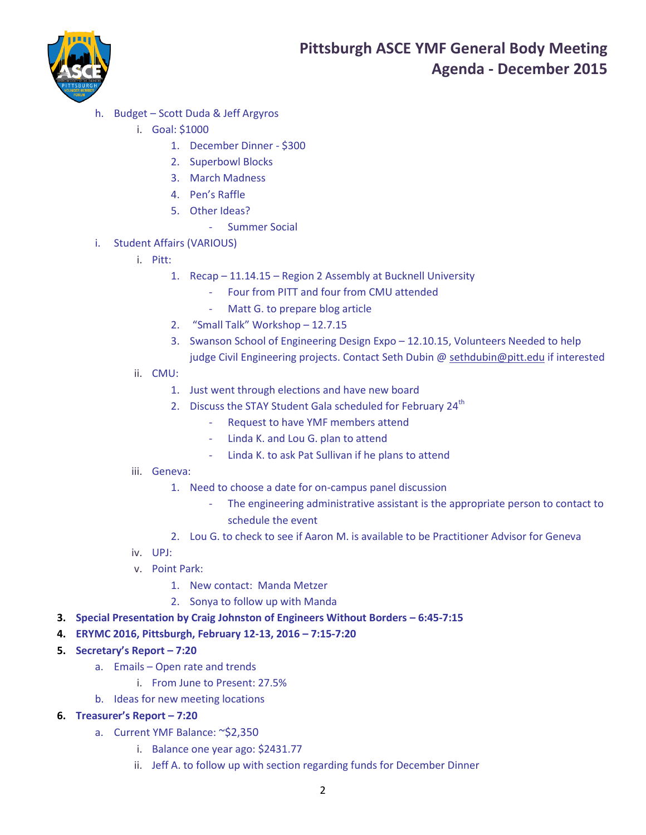

- h. Budget Scott Duda & Jeff Argyros
	- i. Goal: \$1000
		- 1. December Dinner \$300
		- 2. Superbowl Blocks
		- 3. March Madness
		- 4. Pen's Raffle
		- 5. Other Ideas?
			- Summer Social
- i. Student Affairs (VARIOUS)
	- i. Pitt:
		- 1. Recap 11.14.15 Region 2 Assembly at Bucknell University
			- Four from PITT and four from CMU attended
			- Matt G. to prepare blog article
		- 2. "Small Talk" Workshop 12.7.15
		- 3. Swanson School of Engineering Design Expo 12.10.15, Volunteers Needed to help judge Civil Engineering projects. Contact Seth Dubin @ [sethdubin@pitt.edu](mailto:sethdubin@pitt.edu) if interested
	- ii. CMU:
		- 1. Just went through elections and have new board
		- 2. Discuss the STAY Student Gala scheduled for February 24<sup>th</sup>
			- Request to have YMF members attend
			- Linda K. and Lou G. plan to attend
			- Linda K. to ask Pat Sullivan if he plans to attend

#### iii. Geneva:

- 1. Need to choose a date for on-campus panel discussion
	- The engineering administrative assistant is the appropriate person to contact to schedule the event
- 2. Lou G. to check to see if Aaron M. is available to be Practitioner Advisor for Geneva
- iv. UPJ:
- v. Point Park:
	- 1. New contact: Manda Metzer
	- 2. Sonya to follow up with Manda
- **3. Special Presentation by Craig Johnston of Engineers Without Borders 6:45-7:15**
- **4. ERYMC 2016, Pittsburgh, February 12-13, 2016 – 7:15-7:20**
- **5. Secretary's Report – 7:20**
	- a. Emails Open rate and trends
		- i. From June to Present: 27.5%
	- b. Ideas for new meeting locations
- **6. Treasurer's Report – 7:20**
	- a. Current YMF Balance: ~\$2,350
		- i. Balance one year ago: \$2431.77
		- ii. Jeff A. to follow up with section regarding funds for December Dinner